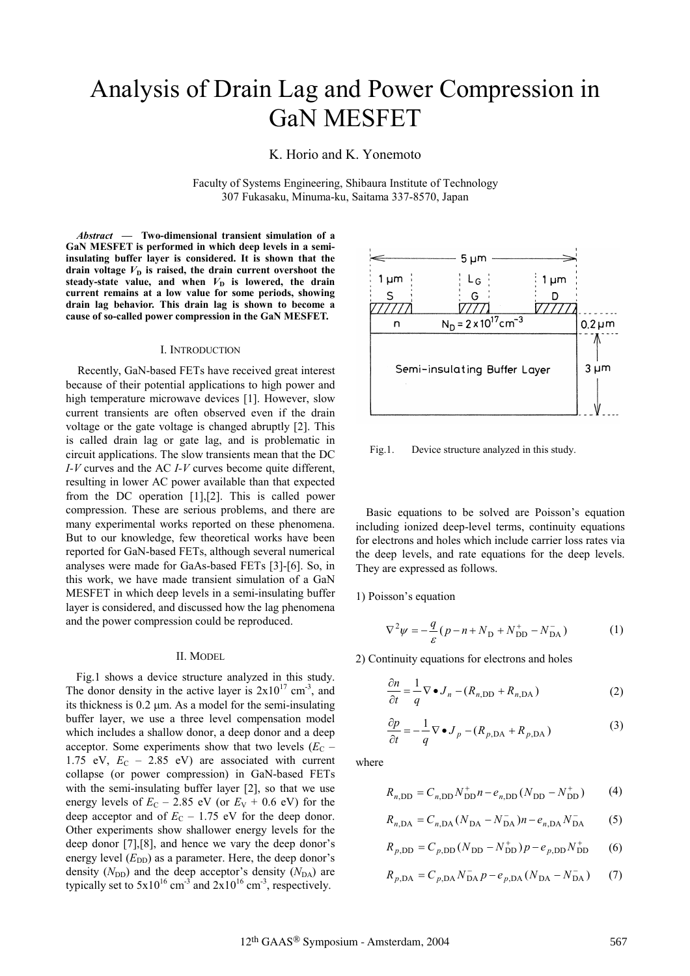# Analysis of Drain Lag and Power Compression in GaN MESFET

K. Horio and K. Yonemoto

Faculty of Systems Engineering, Shibaura Institute of Technology 307 Fukasaku, Minuma-ku, Saitama 337-8570, Japan

*Abstract* **— Two-dimensional transient simulation of a GaN MESFET is performed in which deep levels in a semiinsulating buffer layer is considered. It is shown that the drain voltage**  $V<sub>D</sub>$  is raised, the drain current overshoot the steady-state value, and when  $V<sub>D</sub>$  is lowered, the drain **current remains at a low value for some periods, showing drain lag behavior. This drain lag is shown to become a cause of so-called power compression in the GaN MESFET.**

#### I. INTRODUCTION

Recently, GaN-based FETs have received great interest because of their potential applications to high power and high temperature microwave devices [1]. However, slow current transients are often observed even if the drain voltage or the gate voltage is changed abruptly [2]. This is called drain lag or gate lag, and is problematic in circuit applications. The slow transients mean that the DC *I-V* curves and the AC *I-V* curves become quite different, resulting in lower AC power available than that expected from the DC operation [1],[2]. This is called power compression. These are serious problems, and there are many experimental works reported on these phenomena. But to our knowledge, few theoretical works have been reported for GaN-based FETs, although several numerical analyses were made for GaAs-based FETs [3]-[6]. So, in this work, we have made transient simulation of a GaN MESFET in which deep levels in a semi-insulating buffer layer is considered, and discussed how the lag phenomena and the power compression could be reproduced.

Fig.1 shows a device structure analyzed in this study. The donor density in the active layer is  $2x10^{17}$  cm<sup>-3</sup>, and its thickness is  $0.2 \text{ µm}$ . As a model for the semi-insulating buffer layer, we use a three level compensation model which includes a shallow donor, a deep donor and a deep acceptor. Some experiments show that two levels  $(E_C -$ 1.75 eV,  $E_C$  – 2.85 eV) are associated with current collapse (or power compression) in GaN-based FETs with the semi-insulating buffer layer [2], so that we use energy levels of  $E_C$  – 2.85 eV (or  $E_V$  + 0.6 eV) for the deep acceptor and of  $E_C - 1.75$  eV for the deep donor. Other experiments show shallower energy levels for the deep donor [7],[8], and hence we vary the deep donor's energy level  $(E_{DD})$  as a parameter. Here, the deep donor's density  $(N_{\text{DD}})$  and the deep acceptor's density  $(N_{\text{DA}})$  are typically set to  $5x10^{16}$  cm<sup>-3</sup> and  $2x10^{16}$  cm<sup>-3</sup>, respectively.



Fig.1. Device structure analyzed in this study.

Basic equations to be solved are Poisson's equation including ionized deep-level terms, continuity equations for electrons and holes which include carrier loss rates via the deep levels, and rate equations for the deep levels. They are expressed as follows.

1) Poisson's equation

$$
\nabla^2 \psi = -\frac{q}{\varepsilon} (p - n + N_{\rm D} + N_{\rm DD}^+ - N_{\rm DA}^-)
$$
 (1)

II. MODEL 2) Continuity equations for electrons and holes

$$
\frac{\partial n}{\partial t} = \frac{1}{q} \nabla \bullet J_n - (R_{n, \text{DD}} + R_{n, \text{DA}})
$$
 (2)

$$
\frac{\partial p}{\partial t} = -\frac{1}{q} \nabla \bullet J_p - (R_{p,DA} + R_{p,DA})
$$
\n(3)

where

$$
R_{n,\text{DD}} = C_{n,\text{DD}} N_{\text{DD}}^* n - e_{n,\text{DD}} (N_{\text{DD}} - N_{\text{DD}}^*)
$$
 (4)

$$
R_{n,DA} = C_{n,DA} (N_{DA} - N_{DA}^-) n - e_{n,DA} N_{DA}^-
$$
 (5)

$$
R_{p,\text{DD}} = C_{p,\text{DD}} (N_{\text{DD}} - N_{\text{DD}}^{+}) p - e_{p,\text{DD}} N_{\text{DD}}^{+} \tag{6}
$$

$$
R_{p,DA} = C_{p,DA} N_{DA}^- p - e_{p,DA} (N_{DA} - N_{DA}^-)
$$
 (7)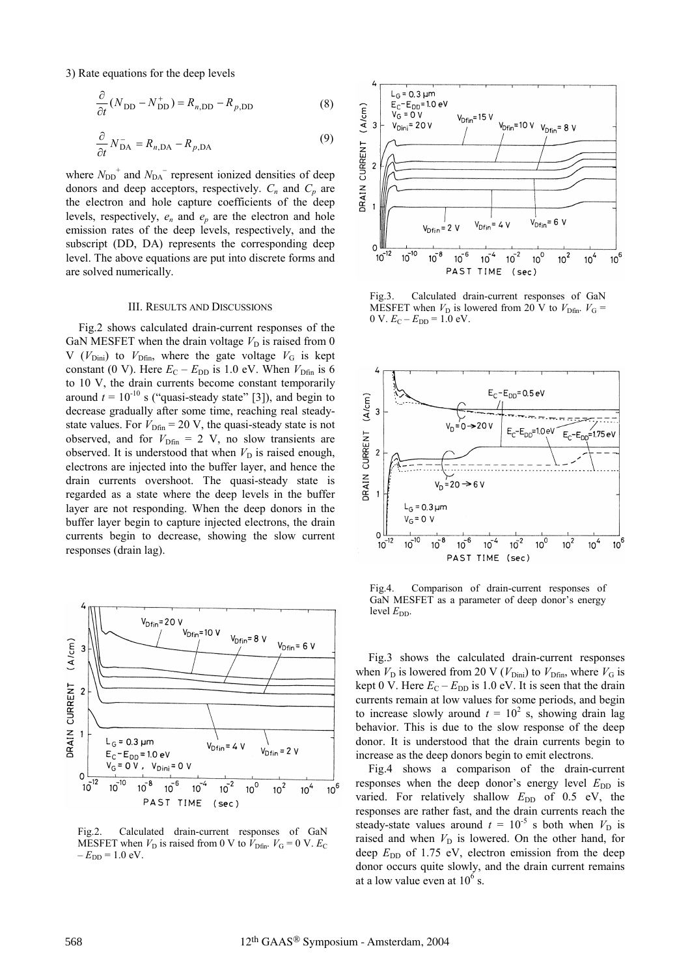3) Rate equations for the deep levels

$$
\frac{\partial}{\partial t}(N_{\rm DD} - N_{\rm DD}^+) = R_{n,\rm DD} - R_{p,\rm DD}
$$
 (8)

$$
\frac{\partial}{\partial t} N_{\text{DA}}^- = R_{n,\text{DA}} - R_{p,\text{DA}} \tag{9}
$$

where  $N_{\text{DD}}^+$  and  $N_{\text{DA}}^-$  represent ionized densities of deep donors and deep acceptors, respectively.  $C_n$  and  $C_p$  are the electron and hole capture coefficients of the deep levels, respectively, *en* and *ep* are the electron and hole emission rates of the deep levels, respectively, and the subscript (DD, DA) represents the corresponding deep level. The above equations are put into discrete forms and are solved numerically.

### III. RESULTS AND DISCUSSIONS

Fig.2 shows calculated drain-current responses of the GaN MESFET when the drain voltage  $V_D$  is raised from 0 V ( $V_{\text{Dini}}$ ) to  $V_{\text{Dfin}}$ , where the gate voltage  $V_{\text{G}}$  is kept constant (0 V). Here  $E_C - E_{DD}$  is 1.0 eV. When  $V_{Dfin}$  is 6 to 10 V, the drain currents become constant temporarily around  $t = 10^{-10}$  s ("quasi-steady state" [3]), and begin to decrease gradually after some time, reaching real steadystate values. For  $V_{\text{Dfin}} = 20 \text{ V}$ , the quasi-steady state is not observed, and for  $V_{\text{Dfin}} = 2$  V, no slow transients are observed. It is understood that when  $V_D$  is raised enough, electrons are injected into the buffer layer, and hence the drain currents overshoot. The quasi-steady state is regarded as a state where the deep levels in the buffer layer are not responding. When the deep donors in the buffer layer begin to capture injected electrons, the drain currents begin to decrease, showing the slow current responses (drain lag).



Fig.2. Calculated drain-current responses of GaN MESFET when  $V_D$  is raised from 0 V to  $\hat{V}_{\text{Dfin}}$ .  $V_G = 0$  V.  $E_C$  $-E_{DD} = 1.0$  eV.



Fig.3. Calculated drain-current responses of GaN MESFET when  $V_D$  is lowered from 20 V to  $V_{\text{Dfin}}$ .  $V_G$  = 0 V.  $E_C - E_{DD} = 1.0$  eV.



Fig.4. Comparison of drain-current responses of GaN MESFET as a parameter of deep donor's energy level  $E_{DD}$ .

Fig.3 shows the calculated drain-current responses when  $V_D$  is lowered from 20 V ( $V_{Dini}$ ) to  $V_{Dfin}$ , where  $V_G$  is kept 0 V. Here  $E_C - E_{DD}$  is 1.0 eV. It is seen that the drain currents remain at low values for some periods, and begin to increase slowly around  $t = 10^2$  s, showing drain lag behavior. This is due to the slow response of the deep donor. It is understood that the drain currents begin to increase as the deep donors begin to emit electrons.

Fig.4 shows a comparison of the drain-current responses when the deep donor's energy level  $E_{DD}$  is varied. For relatively shallow  $E_{DD}$  of 0.5 eV, the responses are rather fast, and the drain currents reach the steady-state values around  $t = 10^{-5}$  s both when  $V_D$  is raised and when  $V_D$  is lowered. On the other hand, for deep  $E_{\text{DD}}$  of 1.75 eV, electron emission from the deep donor occurs quite slowly, and the drain current remains at a low value even at  $10^6$  s.